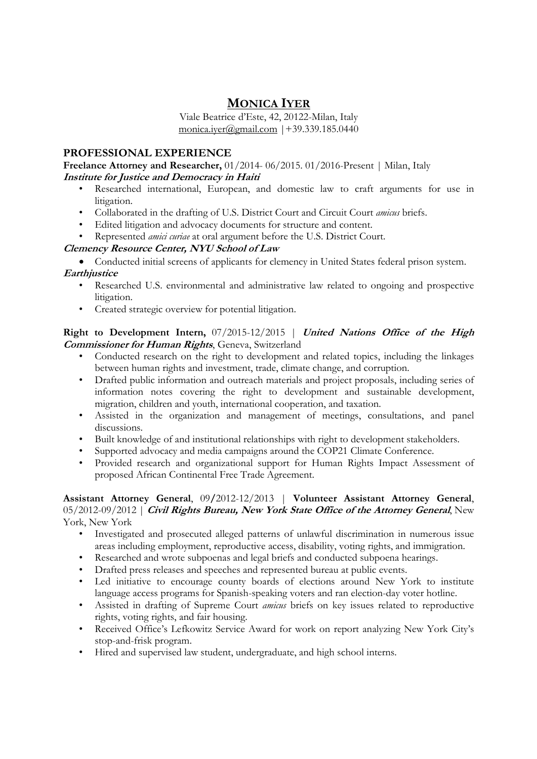# MONICA IYER

Viale Beatrice d'Este, 42, 20122-Milan, Italy monica.iyer@gmail.com  $|+39.339.185.0440$ 

# PROFESSIONAL EXPERIENCE

Freelance Attorney and Researcher, 01/2014- 06/2015. 01/2016-Present | Milan, Italy Institute for Justice and Democracy in Haiti

- Researched international, European, and domestic law to craft arguments for use in litigation.
- Collaborated in the drafting of U.S. District Court and Circuit Court *amicus* briefs.
- Edited litigation and advocacy documents for structure and content.
- Represented *amici curiae* at oral argument before the U.S. District Court.

# Clemency Resource Center, NYU School of Law

 Conducted initial screens of applicants for clemency in United States federal prison system. **Earthiustice** 

- Researched U.S. environmental and administrative law related to ongoing and prospective litigation.
- Created strategic overview for potential litigation.

## Right to Development Intern, 07/2015-12/2015 | United Nations Office of the High Commissioner for Human Rights, Geneva, Switzerland

- Conducted research on the right to development and related topics, including the linkages between human rights and investment, trade, climate change, and corruption.
- Drafted public information and outreach materials and project proposals, including series of information notes covering the right to development and sustainable development, migration, children and youth, international cooperation, and taxation.
- Assisted in the organization and management of meetings, consultations, and panel discussions.
- Built knowledge of and institutional relationships with right to development stakeholders.
- Supported advocacy and media campaigns around the COP21 Climate Conference.
- Provided research and organizational support for Human Rights Impact Assessment of proposed African Continental Free Trade Agreement.

#### Assistant Attorney General, 09/2012-12/2013 | Volunteer Assistant Attorney General, 05/2012-09/2012 | Civil Rights Bureau, New York State Office of the Attorney General, New York, New York

- Investigated and prosecuted alleged patterns of unlawful discrimination in numerous issue areas including employment, reproductive access, disability, voting rights, and immigration.
- Researched and wrote subpoenas and legal briefs and conducted subpoena hearings.
- Drafted press releases and speeches and represented bureau at public events.
- Led initiative to encourage county boards of elections around New York to institute language access programs for Spanish-speaking voters and ran election-day voter hotline.
- Assisted in drafting of Supreme Court *amicus* briefs on key issues related to reproductive rights, voting rights, and fair housing.
- Received Office's Lefkowitz Service Award for work on report analyzing New York City's stop-and-frisk program.
- Hired and supervised law student, undergraduate, and high school interns.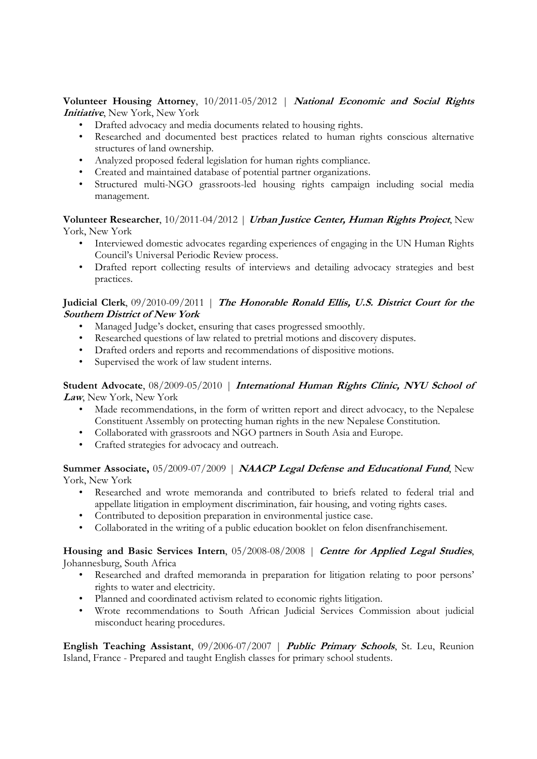Volunteer Housing Attorney, 10/2011-05/2012 | National Economic and Social Rights Initiative, New York, New York

- Drafted advocacy and media documents related to housing rights.
- Researched and documented best practices related to human rights conscious alternative structures of land ownership.
- Analyzed proposed federal legislation for human rights compliance.
- Created and maintained database of potential partner organizations.
- Structured multi-NGO grassroots-led housing rights campaign including social media management.

Volunteer Researcher, 10/2011-04/2012 | Urban Justice Center, Human Rights Project, New York, New York

- Interviewed domestic advocates regarding experiences of engaging in the UN Human Rights Council's Universal Periodic Review process.
- Drafted report collecting results of interviews and detailing advocacy strategies and best practices.

## Judicial Clerk, 09/2010-09/2011 | The Honorable Ronald Ellis, U.S. District Court for the Southern District of New York

- Managed Judge's docket, ensuring that cases progressed smoothly.
- Researched questions of law related to pretrial motions and discovery disputes.
- Drafted orders and reports and recommendations of dispositive motions.
- Supervised the work of law student interns.

## Student Advocate, 08/2009-05/2010 | International Human Rights Clinic, NYU School of Law, New York, New York

- Made recommendations, in the form of written report and direct advocacy, to the Nepalese Constituent Assembly on protecting human rights in the new Nepalese Constitution.
- Collaborated with grassroots and NGO partners in South Asia and Europe.
- Crafted strategies for advocacy and outreach.

#### Summer Associate, 05/2009-07/2009 | NAACP Legal Defense and Educational Fund, New York, New York

- Researched and wrote memoranda and contributed to briefs related to federal trial and appellate litigation in employment discrimination, fair housing, and voting rights cases.
- Contributed to deposition preparation in environmental justice case.
- Collaborated in the writing of a public education booklet on felon disenfranchisement.

Housing and Basic Services Intern, 05/2008-08/2008 | Centre for Applied Legal Studies, Johannesburg, South Africa

- Researched and drafted memoranda in preparation for litigation relating to poor persons' rights to water and electricity.
- Planned and coordinated activism related to economic rights litigation.
- Wrote recommendations to South African Judicial Services Commission about judicial misconduct hearing procedures.

English Teaching Assistant, 09/2006-07/2007 | Public Primary Schools, St. Leu, Reunion Island, France - Prepared and taught English classes for primary school students.